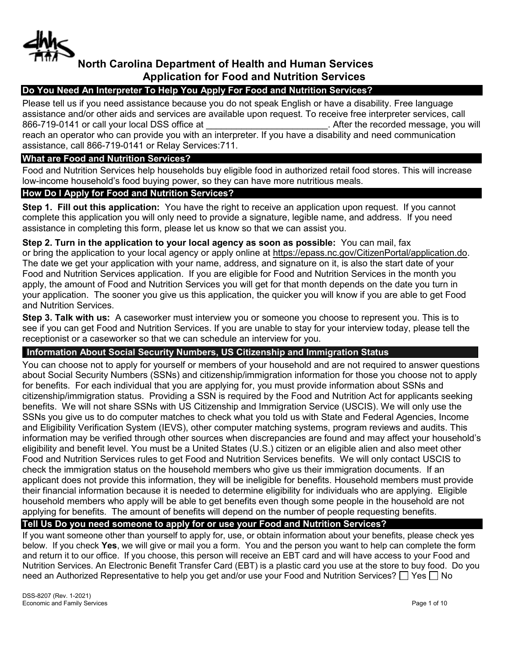

# **North Carolina Department of Health and Human Services Application for Food and Nutrition Services**

# **Do You Need An Interpreter To Help You Apply For Food and Nutrition Services?**

Please tell us if you need assistance because you do not speak English or have a disability. Free language assistance and/or other aids and services are available upon request. To receive free interpreter services, call 866-719-0141 or call your local DSS office at  $\qquad \qquad$  After the recorded message, you will reach an operator who can provide you with an interpreter. If you have a disability and need communication assistance, call 866-719-0141 or Relay Services:711.

# **What are Food and Nutrition Services?**

Food and Nutrition Services help households buy eligible food in authorized retail food stores. This will increase low-income household's food buying power, so they can have more nutritious meals.

# **How Do I Apply for Food and Nutrition Services?**

**Step 1. Fill out this application:** You have the right to receive an application upon request. If you cannot complete this application you will only need to provide a signature, legible name, and address. If you need assistance in completing this form, please let us know so that we can assist you.

**Step 2. Turn in the application to your local agency as soon as possible:** You can mail, fax or bring the application to your local agency or apply online at https://epass.nc.gov/CitizenPortal/application.do. The date we get your application with your name, address, and signature on it, is also the start date of your Food and Nutrition Services application. If you are eligible for Food and Nutrition Services in the month you apply, the amount of Food and Nutrition Services you will get for that month depends on the date you turn in your application. The sooner you give us this application, the quicker you will know if you are able to get Food and Nutrition Services.

**Step 3. Talk with us:** A caseworker must interview you or someone you choose to represent you. This is to see if you can get Food and Nutrition Services. If you are unable to stay for your interview today, please tell the receptionist or a caseworker so that we can schedule an interview for you.

# **Information About Social Security Numbers, US Citizenship and Immigration Status**

You can choose not to apply for yourself or members of your household and are not required to answer questions about Social Security Numbers (SSNs) and citizenship/immigration information for those you choose not to apply for benefits. For each individual that you are applying for, you must provide information about SSNs and citizenship/immigration status. Providing a SSN is required by the Food and Nutrition Act for applicants seeking benefits. We will not share SSNs with US Citizenship and Immigration Service (USCIS). We will only use the SSNs you give us to do computer matches to check what you told us with State and Federal Agencies, Income and Eligibility Verification System (IEVS), other computer matching systems, program reviews and audits. This information may be verified through other sources when discrepancies are found and may affect your household's eligibility and benefit level. You must be a United States (U.S.) citizen or an eligible alien and also meet other Food and Nutrition Services rules to get Food and Nutrition Services benefits. We will only contact USCIS to check the immigration status on the household members who give us their immigration documents. If an applicant does not provide this information, they will be ineligible for benefits. Household members must provide their financial information because it is needed to determine eligibility for individuals who are applying. Eligible household members who apply will be able to get benefits even though some people in the household are not applying for benefits. The amount of benefits will depend on the number of people requesting benefits.

# **Tell Us Do you need someone to apply for or use your Food and Nutrition Services?**

If you want someone other than yourself to apply for, use, or obtain information about your benefits, please check yes below. If you check **Yes**, we will give or mail you a form. You and the person you want to help can complete the form and return it to our office. If you choose, this person will receive an EBT card and will have access to your Food and Nutrition Services. An Electronic Benefit Transfer Card (EBT) is a plastic card you use at the store to buy food. Do you need an Authorized Representative to help you get and/or use your Food and Nutrition Services?  $\Box$  Yes  $\Box$  No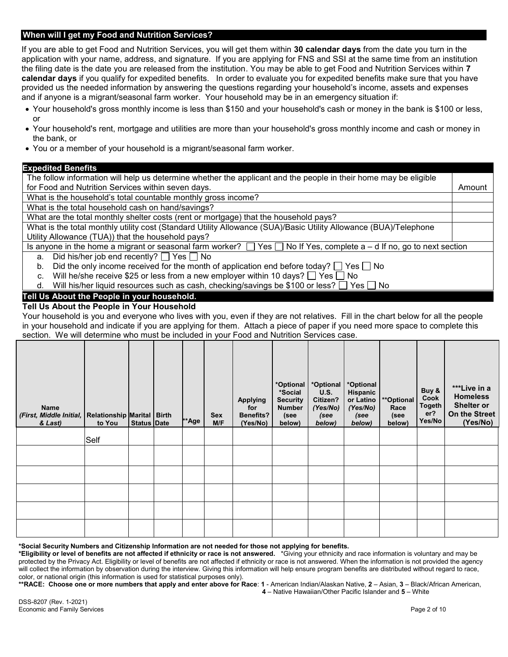## **When will I get my Food and Nutrition Services?**

If you are able to get Food and Nutrition Services, you will get them within **30 calendar days** from the date you turn in the application with your name, address, and signature. If you are applying for FNS and SSI at the same time from an institution the filing date is the date you are released from the institution. You may be able to get Food and Nutrition Services within **7 calendar days** if you qualify for expedited benefits. In order to evaluate you for expedited benefits make sure that you have provided us the needed information by answering the questions regarding your household's income, assets and expenses and if anyone is a migrant/seasonal farm worker. Your household may be in an emergency situation if:

- Your household's gross monthly income is less than \$150 and your household's cash or money in the bank is \$100 or less, or
- Your household's rent, mortgage and utilities are more than your household's gross monthly income and cash or money in the bank, or
- You or a member of your household is a migrant/seasonal farm worker.

## **Expedited Benefits**

| The follow information will help us determine whether the applicant and the people in their home may be eligible               |  |  |  |  |  |  |
|--------------------------------------------------------------------------------------------------------------------------------|--|--|--|--|--|--|
| for Food and Nutrition Services within seven days.                                                                             |  |  |  |  |  |  |
| What is the household's total countable monthly gross income?                                                                  |  |  |  |  |  |  |
| What is the total household cash on hand/savings?                                                                              |  |  |  |  |  |  |
| What are the total monthly shelter costs (rent or mortgage) that the household pays?                                           |  |  |  |  |  |  |
| What is the total monthly utility cost (Standard Utility Allowance (SUA)/Basic Utility Allowance (BUA)/Telephone               |  |  |  |  |  |  |
| Utility Allowance (TUA)) that the household pays?                                                                              |  |  |  |  |  |  |
| Is anyone in the home a migrant or seasonal farm worker? $\Box$ Yes $\Box$ No If Yes, complete a – d If no, go to next section |  |  |  |  |  |  |
| Did his/her job end recently? $\Box$ Yes $\Box$ No<br>a.                                                                       |  |  |  |  |  |  |
| Did the only income received for the month of application end before today? $\Box$ Yes $\Box$ No<br>b.                         |  |  |  |  |  |  |
| Will he/she receive \$25 or less from a new employer within 10 days? $\Box$ Yes $\Box$ No<br>C.                                |  |  |  |  |  |  |
| Will his/her liquid resources such as cash, checking/savings be \$100 or less? $\Box$ Yes $\Box$ No<br>d.                      |  |  |  |  |  |  |
| Tell IIe About the Beaple in vour bougehold                                                                                    |  |  |  |  |  |  |

# **Tell Us About the People in your household.**

**Tell Us About the People in Your Household** 

Your household is you and everyone who lives with you, even if they are not relatives. Fill in the chart below for all the people in your household and indicate if you are applying for them. Attach a piece of paper if you need more space to complete this section. We will determine who must be included in your Food and Nutrition Services case.

| <b>Name</b><br>(First, Middle Initial, Relationship Marital   Birth<br>& Last) | to You | <b>Status Date</b> | **Age | <b>Sex</b><br>M/F | <b>Applying</b><br>for<br>Benefits?<br>(Yes/No) | *Optional<br>*Social<br><b>Security</b><br><b>Number</b><br>(see<br>below) | *Optional<br>U.S.<br>Citizen?<br>(Yes/No)<br>(see<br>below) | *Optional<br>Hispanic<br>or Latino<br>(Yes/No)<br>(see<br>below) | <i>**</i> Optional<br>Race<br>(see<br>below) | Buy &<br>Cook<br><b>Togeth</b><br>er?<br>Yes/No | ***Live in a<br><b>Homeless</b><br><b>Shelter or</b><br>On the Street<br>(Yes/No) |
|--------------------------------------------------------------------------------|--------|--------------------|-------|-------------------|-------------------------------------------------|----------------------------------------------------------------------------|-------------------------------------------------------------|------------------------------------------------------------------|----------------------------------------------|-------------------------------------------------|-----------------------------------------------------------------------------------|
|                                                                                | Self   |                    |       |                   |                                                 |                                                                            |                                                             |                                                                  |                                              |                                                 |                                                                                   |
|                                                                                |        |                    |       |                   |                                                 |                                                                            |                                                             |                                                                  |                                              |                                                 |                                                                                   |
|                                                                                |        |                    |       |                   |                                                 |                                                                            |                                                             |                                                                  |                                              |                                                 |                                                                                   |
|                                                                                |        |                    |       |                   |                                                 |                                                                            |                                                             |                                                                  |                                              |                                                 |                                                                                   |
|                                                                                |        |                    |       |                   |                                                 |                                                                            |                                                             |                                                                  |                                              |                                                 |                                                                                   |
|                                                                                |        |                    |       |                   |                                                 |                                                                            |                                                             |                                                                  |                                              |                                                 |                                                                                   |

**\*Social Security Numbers and Citizenship Information are not needed for those not applying for benefits.**

**\*Eligibility or level of benefits are not affected if ethnicity or race is not answered.** \*Giving your ethnicity and race information is voluntary and may be protected by the Privacy Act. Eligibility or level of benefits are not affected if ethnicity or race is not answered. When the information is not provided the agency will collect the information by observation during the interview. Giving this information will help ensure program benefits are distributed without regard to race, color, or national origin (this information is used for statistical purposes only).

**\*\*RACE: Choose one or more numbers that apply and enter above for Race**: **1** - American Indian/Alaskan Native, **2** – Asian, **3** – Black/African American,  **4** – Native Hawaiian/Other Pacific Islander and **5** – White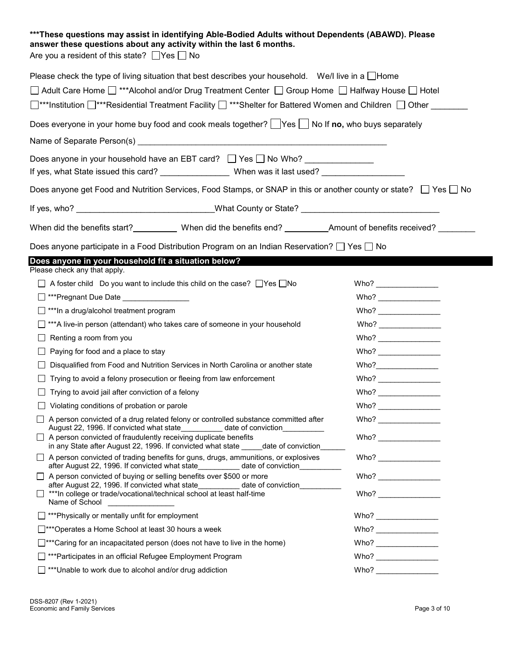| *** These questions may assist in identifying Able-Bodied Adults without Dependents (ABAWD). Please<br>answer these questions about any activity within the last 6 months.<br>Are you a resident of this state? $\Box$ Yes $\Box$ No  |                                                                                                                                                                                                                                                                                                                                                          |  |  |  |  |  |  |
|---------------------------------------------------------------------------------------------------------------------------------------------------------------------------------------------------------------------------------------|----------------------------------------------------------------------------------------------------------------------------------------------------------------------------------------------------------------------------------------------------------------------------------------------------------------------------------------------------------|--|--|--|--|--|--|
| Please check the type of living situation that best describes your household. We/I live in a $\Box$ Home                                                                                                                              |                                                                                                                                                                                                                                                                                                                                                          |  |  |  |  |  |  |
| □ Adult Care Home □ ***Alcohol and/or Drug Treatment Center □ Group Home □ Halfway House □ Hotel                                                                                                                                      |                                                                                                                                                                                                                                                                                                                                                          |  |  |  |  |  |  |
| □ striptitution □ ***Residential Treatment Facility □ ***Shelter for Battered Women and Children □ Other                                                                                                                              |                                                                                                                                                                                                                                                                                                                                                          |  |  |  |  |  |  |
| Does everyone in your home buy food and cook meals together? $\Box$ Yes $\Box$ No If no, who buys separately                                                                                                                          |                                                                                                                                                                                                                                                                                                                                                          |  |  |  |  |  |  |
|                                                                                                                                                                                                                                       |                                                                                                                                                                                                                                                                                                                                                          |  |  |  |  |  |  |
| Does anyone in your household have an EBT card? □ Yes □ No Who?                                                                                                                                                                       |                                                                                                                                                                                                                                                                                                                                                          |  |  |  |  |  |  |
| If yes, what State issued this card? _________________When was it last used? _______________________                                                                                                                                  |                                                                                                                                                                                                                                                                                                                                                          |  |  |  |  |  |  |
| Does anyone get Food and Nutrition Services, Food Stamps, or SNAP in this or another county or state? □ Yes □ No                                                                                                                      |                                                                                                                                                                                                                                                                                                                                                          |  |  |  |  |  |  |
| If yes, who? ___________________________________What County or State? ___________________________________                                                                                                                             |                                                                                                                                                                                                                                                                                                                                                          |  |  |  |  |  |  |
| When did the benefits start?<br>When did the benefits end?<br>Men did the benefits end?<br>Men did the benefits end?<br>Amount of benefits received?<br>Men did the benefits received?<br>Men did the benefits received?<br>Men did t |                                                                                                                                                                                                                                                                                                                                                          |  |  |  |  |  |  |
| Does anyone participate in a Food Distribution Program on an Indian Reservation? $\Box$ Yes $\Box$ No                                                                                                                                 |                                                                                                                                                                                                                                                                                                                                                          |  |  |  |  |  |  |
| Does anyone in your household fit a situation below?                                                                                                                                                                                  |                                                                                                                                                                                                                                                                                                                                                          |  |  |  |  |  |  |
| Please check any that apply.                                                                                                                                                                                                          |                                                                                                                                                                                                                                                                                                                                                          |  |  |  |  |  |  |
| $\Box$ A foster child Do you want to include this child on the case? $\Box$ Yes $\Box$ No                                                                                                                                             | Who?                                                                                                                                                                                                                                                                                                                                                     |  |  |  |  |  |  |
| □ ***Pregnant Due Date _________________                                                                                                                                                                                              |                                                                                                                                                                                                                                                                                                                                                          |  |  |  |  |  |  |
| *** In a drug/alcohol treatment program                                                                                                                                                                                               |                                                                                                                                                                                                                                                                                                                                                          |  |  |  |  |  |  |
| *** A live-in person (attendant) who takes care of someone in your household                                                                                                                                                          |                                                                                                                                                                                                                                                                                                                                                          |  |  |  |  |  |  |
| $\Box$ Renting a room from you                                                                                                                                                                                                        |                                                                                                                                                                                                                                                                                                                                                          |  |  |  |  |  |  |
| Paying for food and a place to stay                                                                                                                                                                                                   |                                                                                                                                                                                                                                                                                                                                                          |  |  |  |  |  |  |
| Disqualified from Food and Nutrition Services in North Carolina or another state                                                                                                                                                      | Who?                                                                                                                                                                                                                                                                                                                                                     |  |  |  |  |  |  |
| Trying to avoid a felony prosecution or fleeing from law enforcement                                                                                                                                                                  | Who?                                                                                                                                                                                                                                                                                                                                                     |  |  |  |  |  |  |
| Trying to avoid jail after conviction of a felony                                                                                                                                                                                     | Who?                                                                                                                                                                                                                                                                                                                                                     |  |  |  |  |  |  |
| Violating conditions of probation or parole                                                                                                                                                                                           |                                                                                                                                                                                                                                                                                                                                                          |  |  |  |  |  |  |
| A person convicted of a drug related felony or controlled substance committed after<br>August 22, 1996. If convicted what state__________ date of conviction_                                                                         |                                                                                                                                                                                                                                                                                                                                                          |  |  |  |  |  |  |
| A person convicted of fraudulently receiving duplicate benefits<br>in any State after August 22, 1996. If convicted what state _____date of conviction                                                                                | Who? $\frac{1}{\sqrt{1-\frac{1}{2}}\left\vert \frac{1}{2}+1\right\vert }$                                                                                                                                                                                                                                                                                |  |  |  |  |  |  |
| A person convicted of trading benefits for guns, drugs, ammunitions, or explosives<br>after August 22, 1996. If convicted what state date of conviction                                                                               | Who? $\qquad \qquad$                                                                                                                                                                                                                                                                                                                                     |  |  |  |  |  |  |
| A person convicted of buying or selling benefits over \$500 or more                                                                                                                                                                   | Who? $\overline{\qquad \qquad }$                                                                                                                                                                                                                                                                                                                         |  |  |  |  |  |  |
| after August 22, 1996. If convicted what state<br>date of conviction__________<br>*** In college or trade/vocational/technical school at least half-time<br>Name of School                                                            |                                                                                                                                                                                                                                                                                                                                                          |  |  |  |  |  |  |
| *** Physically or mentally unfit for employment<br>$\mathsf{L}$                                                                                                                                                                       |                                                                                                                                                                                                                                                                                                                                                          |  |  |  |  |  |  |
| □ *** Operates a Home School at least 30 hours a week                                                                                                                                                                                 |                                                                                                                                                                                                                                                                                                                                                          |  |  |  |  |  |  |
| $\Box$ ***Caring for an incapacitated person (does not have to live in the home)                                                                                                                                                      |                                                                                                                                                                                                                                                                                                                                                          |  |  |  |  |  |  |
| ***Participates in an official Refugee Employment Program                                                                                                                                                                             | $\normalsize \begin{picture}(10,10) \put(0,0){\line(1,0){10}} \put(15,0){\line(1,0){10}} \put(15,0){\line(1,0){10}} \put(15,0){\line(1,0){10}} \put(15,0){\line(1,0){10}} \put(15,0){\line(1,0){10}} \put(15,0){\line(1,0){10}} \put(15,0){\line(1,0){10}} \put(15,0){\line(1,0){10}} \put(15,0){\line(1,0){10}} \put(15,0){\line(1,0){10}} \put(15,0){$ |  |  |  |  |  |  |
| *** Unable to work due to alcohol and/or drug addiction                                                                                                                                                                               | Who?                                                                                                                                                                                                                                                                                                                                                     |  |  |  |  |  |  |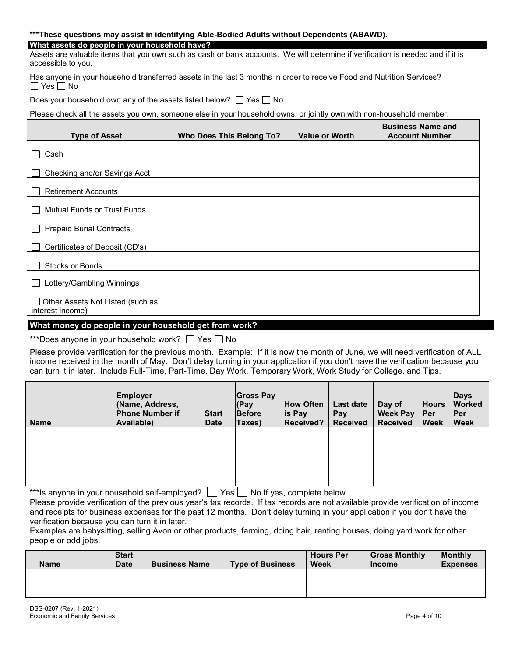## **\*\*\*These questions may assist in identifying Able-Bodied Adults without Dependents (ABAWD).**

# **What assets do people in your household have?**

Assets are valuable items that you own such as cash or bank accounts. We will determine if verification is needed and if it is accessible to you.

Has anyone in your household transferred assets in the last 3 months in order to receive Food and Nutrition Services?  $\Box$  Yes  $\Box$  No

Does your household own any of the assets listed below?  $\Box$  Yes  $\Box$  No

Please check all the assets you own, someone else in your household owns, or jointly own with non-household member.

| <b>Type of Asset</b>                                           | <b>Who Does This Belong To?</b> | <b>Value or Worth</b> | <b>Business Name and</b><br><b>Account Number</b> |
|----------------------------------------------------------------|---------------------------------|-----------------------|---------------------------------------------------|
| Cash                                                           |                                 |                       |                                                   |
| Checking and/or Savings Acct<br>$\mathbf{L}$                   |                                 |                       |                                                   |
| <b>Retirement Accounts</b>                                     |                                 |                       |                                                   |
| <b>Mutual Funds or Trust Funds</b><br>$\Box$                   |                                 |                       |                                                   |
| <b>Prepaid Burial Contracts</b><br>$\mathbf{L}$                |                                 |                       |                                                   |
| Certificates of Deposit (CD's)                                 |                                 |                       |                                                   |
| Stocks or Bonds<br>$\mathbf{L}$                                |                                 |                       |                                                   |
| Lottery/Gambling Winnings                                      |                                 |                       |                                                   |
| Other Assets Not Listed (such as<br>$\Box$<br>interest income) |                                 |                       |                                                   |

# **What money do people in your household get from work?**

\*\*\*Does anyone in your household work?  $\Box$  Yes  $\Box$  No

Please provide verification for the previous month. Example: If it is now the month of June, we will need verification of ALL income received in the month of May. Don't delay turning in your application if you don't have the verification because you can turn it in later. Include Full-Time, Part-Time, Day Work, Temporary Work, Work Study for College, and Tips.

| <b>Name</b> | <b>Employer</b><br>(Name, Address,<br><b>Phone Number if</b><br>Available) | <b>Start</b><br><b>Date</b> | <b>Gross Pay</b><br>$ $ (Pay<br><b>Before</b><br>Taxes) | <b>How Often</b><br>is Pay<br><b>Received?</b> | <b>Last date</b><br>Pay<br><b>Received</b> | Day of<br><b>Week Pay</b><br><b>Received</b> | <b>Hours</b><br>Per<br><b>Week</b> | <b>Days</b><br><b>Worked</b><br><b>IPer</b><br><b>Week</b> |
|-------------|----------------------------------------------------------------------------|-----------------------------|---------------------------------------------------------|------------------------------------------------|--------------------------------------------|----------------------------------------------|------------------------------------|------------------------------------------------------------|
|             |                                                                            |                             |                                                         |                                                |                                            |                                              |                                    |                                                            |
|             |                                                                            |                             |                                                         |                                                |                                            |                                              |                                    |                                                            |
|             |                                                                            |                             |                                                         |                                                |                                            |                                              |                                    |                                                            |

\*\*\*Is anyone in your household self-employed?  $\Box$  Yes  $\Box$  No If yes, complete below.

Please provide verification of the previous year's tax records. If tax records are not available provide verification of income and receipts for business expenses for the past 12 months. Don't delay turning in your application if you don't have the verification because you can turn it in later.

Examples are babysitting, selling Avon or other products, farming, doing hair, renting houses, doing yard work for other people or odd jobs.

| <b>Name</b> | <b>Start</b><br>Date | <b>Business Name</b> | <b>Type of Business</b> | <b>Hours Per</b><br>Week | <b>Gross Monthly</b><br><b>Income</b> | <b>Monthly</b><br><b>Expenses</b> |
|-------------|----------------------|----------------------|-------------------------|--------------------------|---------------------------------------|-----------------------------------|
|             |                      |                      |                         |                          |                                       |                                   |
|             |                      |                      |                         |                          |                                       |                                   |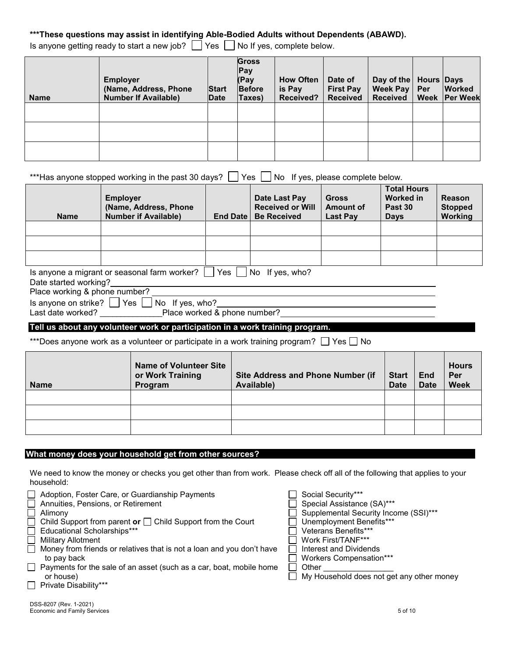# **\*\*\*These questions may assist in identifying Able-Bodied Adults without Dependents (ABAWD).**

Is anyone getting ready to start a new job?  $\Box$  Yes  $\Box$  No If yes, complete below.

| <b>Name</b> | <b>Employer</b><br>(Name, Address, Phone<br><b>Number If Available)</b> | <b>Start</b><br>Date | <b>Gross</b><br>Pay<br>(Pay<br><b>Before</b><br>Taxes) | <b>How Often</b><br>is Pay<br>Received? | Date of<br><b>First Pay</b><br><b>Received</b> | Day of the   Hours   Days<br>Week Pay<br><b>Received</b> | Per<br>Week | <b>Worked</b><br><b>Per Week</b> |
|-------------|-------------------------------------------------------------------------|----------------------|--------------------------------------------------------|-----------------------------------------|------------------------------------------------|----------------------------------------------------------|-------------|----------------------------------|
|             |                                                                         |                      |                                                        |                                         |                                                |                                                          |             |                                  |
|             |                                                                         |                      |                                                        |                                         |                                                |                                                          |             |                                  |
|             |                                                                         |                      |                                                        |                                         |                                                |                                                          |             |                                  |

\*\*\*Has anyone stopped working in the past 30 days?  $\Box$  Yes  $\Box$  No If yes, please complete below.

| <b>Name</b>                                                            | <b>Employer</b><br>(Name, Address, Phone)<br><b>Number if Available)</b> | <b>End Date</b> | Date Last Pay<br><b>Received or Will</b><br><b>Be Received</b> | <b>Gross</b><br><b>Amount of</b><br><b>Last Pay</b> | <b>Total Hours</b><br>Worked in<br>Past 30<br><b>Days</b> | <b>Reason</b><br><b>Stopped</b><br><b>Working</b> |  |  |
|------------------------------------------------------------------------|--------------------------------------------------------------------------|-----------------|----------------------------------------------------------------|-----------------------------------------------------|-----------------------------------------------------------|---------------------------------------------------|--|--|
|                                                                        |                                                                          |                 |                                                                |                                                     |                                                           |                                                   |  |  |
|                                                                        |                                                                          |                 |                                                                |                                                     |                                                           |                                                   |  |  |
|                                                                        |                                                                          |                 |                                                                |                                                     |                                                           |                                                   |  |  |
| Yes<br>No If yes, who?<br>Is anyone a migrant or seasonal farm worker? |                                                                          |                 |                                                                |                                                     |                                                           |                                                   |  |  |
| Date started working?                                                  |                                                                          |                 |                                                                |                                                     |                                                           |                                                   |  |  |
| Place working & phone number?                                          |                                                                          |                 |                                                                |                                                     |                                                           |                                                   |  |  |

Is anyone on strike?  $\Box$  Yes  $\Box$  No If yes, who?

Last date worked? \_\_\_\_\_\_\_\_\_\_\_\_\_\_\_Place worked & phone number?

# **Tell us about any volunteer work or participation in a work training program.**

\*\*\*Does anyone work as a volunteer or participate in a work training program?  $\Box$  Yes  $\Box$  No

| <b>Name</b> | <b>Name of Volunteer Site</b><br>or Work Training<br>Program | <b>Site Address and Phone Number (if</b><br>Available) | <b>Start</b><br><b>Date</b> | End<br><b>Date</b> | <b>Hours</b><br>Per<br><b>Week</b> |
|-------------|--------------------------------------------------------------|--------------------------------------------------------|-----------------------------|--------------------|------------------------------------|
|             |                                                              |                                                        |                             |                    |                                    |
|             |                                                              |                                                        |                             |                    |                                    |
|             |                                                              |                                                        |                             |                    |                                    |

# **What money does your household get from other sources?**

We need to know the money or checks you get other than from work. Please check off all of the following that applies to your household:

| Adoption, Foster Care, or Guardianship Payments                       | Social Security***                        |
|-----------------------------------------------------------------------|-------------------------------------------|
| Annuities, Pensions, or Retirement                                    | Special Assistance (SA)***                |
| Alimony                                                               | Supplemental Security Income (SSI)***     |
| Child Support from parent or $\Box$ Child Support from the Court      | Unemployment Benefits***                  |
| Educational Scholarships***                                           | Veterans Benefits***                      |
| <b>Military Allotment</b>                                             | Work First/TANF***                        |
| Money from friends or relatives that is not a loan and you don't have | Interest and Dividends                    |
| to pay back                                                           | Workers Compensation***                   |
| □ Payments for the sale of an asset (such as a car, boat, mobile home | Other                                     |
| or house)                                                             | My Household does not get any other money |
| $\Box$ Private Disability***                                          |                                           |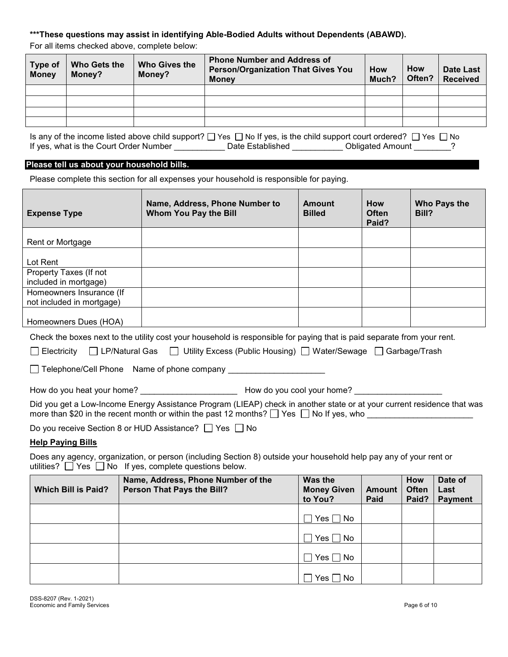# **\*\*\*These questions may assist in identifying Able-Bodied Adults without Dependents (ABAWD).**

For all items checked above, complete below:

| Type of<br><b>Money</b> | Who Gets the<br>Money? | <b>Who Gives the</b><br>Money? | <b>Phone Number and Address of</b><br><b>Person/Organization That Gives You</b><br><b>Money</b> | <b>How</b><br>Much? | <b>How</b><br>Often? | Date Last<br><b>Received</b> |
|-------------------------|------------------------|--------------------------------|-------------------------------------------------------------------------------------------------|---------------------|----------------------|------------------------------|
|                         |                        |                                |                                                                                                 |                     |                      |                              |
|                         |                        |                                |                                                                                                 |                     |                      |                              |
|                         |                        |                                |                                                                                                 |                     |                      |                              |
|                         |                        |                                |                                                                                                 |                     |                      |                              |

Is any of the income listed above child support?  $\Box$  Yes  $\Box$  No If yes, is the child support court ordered?  $\Box$  Yes  $\Box$  No If yes, what is the Court Order Number \_\_\_\_\_\_\_\_\_\_\_\_\_ Date Established \_\_\_\_\_\_\_\_\_\_\_ Obligated Amount \_\_\_\_\_\_\_?

# **Please tell us about your household bills.**

| Please complete this section for all expenses your household is responsible for paying. |  |  |
|-----------------------------------------------------------------------------------------|--|--|
|                                                                                         |  |  |

| <b>Expense Type</b>                                                                                                                                                                                                                        | Name, Address, Phone Number to<br><b>Whom You Pay the Bill</b>                                                          | <b>Amount</b><br><b>Billed</b>           | <b>How</b><br><b>Often</b><br>Paid? | Bill?                               | Who Pays the                      |  |  |
|--------------------------------------------------------------------------------------------------------------------------------------------------------------------------------------------------------------------------------------------|-------------------------------------------------------------------------------------------------------------------------|------------------------------------------|-------------------------------------|-------------------------------------|-----------------------------------|--|--|
| Rent or Mortgage                                                                                                                                                                                                                           |                                                                                                                         |                                          |                                     |                                     |                                   |  |  |
| Lot Rent                                                                                                                                                                                                                                   |                                                                                                                         |                                          |                                     |                                     |                                   |  |  |
| Property Taxes (If not<br>included in mortgage)                                                                                                                                                                                            |                                                                                                                         |                                          |                                     |                                     |                                   |  |  |
| Homeowners Insurance (If<br>not included in mortgage)                                                                                                                                                                                      |                                                                                                                         |                                          |                                     |                                     |                                   |  |  |
| Homeowners Dues (HOA)                                                                                                                                                                                                                      |                                                                                                                         |                                          |                                     |                                     |                                   |  |  |
|                                                                                                                                                                                                                                            | Check the boxes next to the utility cost your household is responsible for paying that is paid separate from your rent. |                                          |                                     |                                     |                                   |  |  |
|                                                                                                                                                                                                                                            | Electricity □ LP/Natural Gas □ Utility Excess (Public Housing) □ Water/Sewage □ Garbage/Trash                           |                                          |                                     |                                     |                                   |  |  |
|                                                                                                                                                                                                                                            | □ Telephone/Cell Phone Name of phone company ___________________________________                                        |                                          |                                     |                                     |                                   |  |  |
|                                                                                                                                                                                                                                            |                                                                                                                         |                                          |                                     |                                     |                                   |  |  |
| Did you get a Low-Income Energy Assistance Program (LIEAP) check in another state or at your current residence that was<br>more than \$20 in the recent month or within the past 12 months? □ Yes □ No If yes, who _______________________ |                                                                                                                         |                                          |                                     |                                     |                                   |  |  |
| Do you receive Section 8 or HUD Assistance? □ Yes □ No                                                                                                                                                                                     |                                                                                                                         |                                          |                                     |                                     |                                   |  |  |
| <b>Help Paying Bills</b>                                                                                                                                                                                                                   |                                                                                                                         |                                          |                                     |                                     |                                   |  |  |
| Does any agency, organization, or person (including Section 8) outside your household help pay any of your rent or<br>utilities? $\Box$ Yes $\Box$ No If yes, complete questions below.                                                    |                                                                                                                         |                                          |                                     |                                     |                                   |  |  |
| <b>Which Bill is Paid?</b>                                                                                                                                                                                                                 | Name, Address, Phone Number of the<br>Person That Pays the Bill?                                                        | Was the<br><b>Money Given</b><br>to You? | <b>Amount</b><br>Paid               | <b>How</b><br><b>Often</b><br>Paid? | Date of<br>Last<br><b>Payment</b> |  |  |
|                                                                                                                                                                                                                                            |                                                                                                                         | $Yes \Box No$                            |                                     |                                     |                                   |  |  |
|                                                                                                                                                                                                                                            |                                                                                                                         | Yes $\Box$<br>No                         |                                     |                                     |                                   |  |  |
|                                                                                                                                                                                                                                            |                                                                                                                         | $\square$ Yes $\square$ No               |                                     |                                     |                                   |  |  |

 $\Box$  Yes  $\Box$  No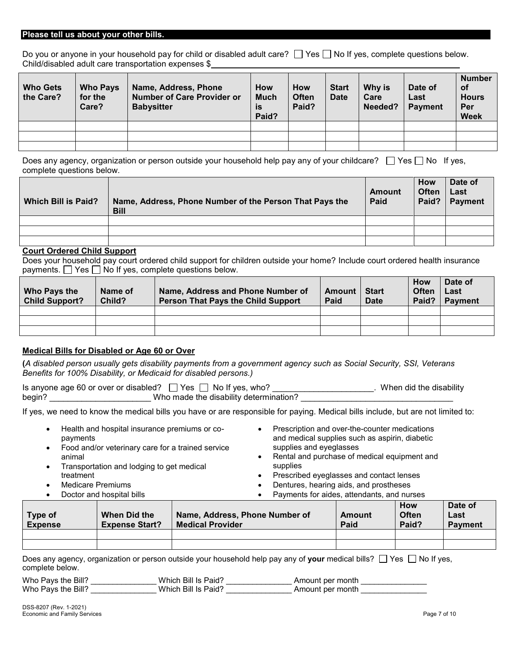#### **Please tell us about your other bills.**

Do you or anyone in your household pay for child or disabled adult care?  $\Box$  Yes  $\Box$  No If yes, complete questions below. Child/disabled adult care transportation expenses \$

| <b>Who Gets</b><br>the Care? | <b>Who Pays</b><br>for the<br>Care? | Name, Address, Phone<br><b>Number of Care Provider or</b><br><b>Babysitter</b> | <b>How</b><br><b>Much</b><br>is<br>Paid? | <b>How</b><br><b>Often</b><br>Paid? | <b>Start</b><br><b>Date</b> | Why is<br>Care<br>Needed? | Date of<br>Last<br><b>Payment</b> | <b>Number</b><br><b>of</b><br><b>Hours</b><br>Per<br><b>Week</b> |
|------------------------------|-------------------------------------|--------------------------------------------------------------------------------|------------------------------------------|-------------------------------------|-----------------------------|---------------------------|-----------------------------------|------------------------------------------------------------------|
|                              |                                     |                                                                                |                                          |                                     |                             |                           |                                   |                                                                  |
|                              |                                     |                                                                                |                                          |                                     |                             |                           |                                   |                                                                  |
|                              |                                     |                                                                                |                                          |                                     |                             |                           |                                   |                                                                  |

Does any agency, organization or person outside your household help pay any of your childcare?  $\Box$  Yes  $\Box$  No If yes, complete questions below.

| <b>Which Bill is Paid?</b> | Name, Address, Phone Number of the Person That Pays the<br><b>Bill</b> | Amount<br>Paid | How<br><b>Often</b><br>Paid? | Date of<br>Last<br><b>Payment</b> |
|----------------------------|------------------------------------------------------------------------|----------------|------------------------------|-----------------------------------|
|                            |                                                                        |                |                              |                                   |
|                            |                                                                        |                |                              |                                   |
|                            |                                                                        |                |                              |                                   |

## **Court Ordered Child Support**

Does your household pay court ordered child support for children outside your home? Include court ordered health insurance payments.  $\Box$  Yes  $\Box$  No If yes, complete questions below.

| Who Pays the<br><b>Child Support?</b> | Name of<br>Child? | Name, Address and Phone Number of<br><b>Person That Pays the Child Support</b> | Amount<br>Paid | <b>Start</b><br><b>Date</b> | <b>How</b><br><b>Often</b><br>Paid? | Date of<br>Last<br><b>Payment</b> |
|---------------------------------------|-------------------|--------------------------------------------------------------------------------|----------------|-----------------------------|-------------------------------------|-----------------------------------|
|                                       |                   |                                                                                |                |                             |                                     |                                   |
|                                       |                   |                                                                                |                |                             |                                     |                                   |
|                                       |                   |                                                                                |                |                             |                                     |                                   |

## **Medical Bills for Disabled or Age 60 or Over**

**(***A disabled person usually gets disability payments from a government agency such as Social Security, SSI, Veterans Benefits for 100% Disability, or Medicaid for disabled persons.)*

Is anyone age 60 or over or disabled?  $\Box$  Yes  $\Box$  No If yes, who? \_\_\_\_\_\_\_\_\_\_\_\_\_\_\_\_\_\_\_\_\_\_\_. When did the disability begin? \_\_\_\_\_\_\_\_\_\_\_\_\_\_\_\_\_\_\_\_\_\_\_\_\_\_\_Who made the disability determination? \_\_

If yes, we need to know the medical bills you have or are responsible for paying. Medical bills include, but are not limited to:

- Health and hospital insurance premiums or copayments
- Food and/or veterinary care for a trained service animal
- Transportation and lodging to get medical treatment
- Medicare Premiums
- Doctor and hospital bills
- Prescription and over-the-counter medications and medical supplies such as aspirin, diabetic supplies and eyeglasses
- Rental and purchase of medical equipment and supplies
- Prescribed eyeglasses and contact lenses
- Dentures, hearing aids, and prostheses
- Payments for aides, attendants, and nurses

| Type of<br><b>Expense</b> | When Did the<br><b>Expense Start?</b> | Name, Address, Phone Number of<br><b>Medical Provider</b> | Amount<br>Paid | How<br><b>Often</b><br>Paid? | Date of<br>Last<br><b>Payment</b> |
|---------------------------|---------------------------------------|-----------------------------------------------------------|----------------|------------------------------|-----------------------------------|
|                           |                                       |                                                           |                |                              |                                   |

Does any agency, organization or person outside your household help pay any of your medical bills?  $\Box$  Yes  $\Box$  No If yes, complete below.

Who Pays the Bill? \_\_\_\_\_\_\_\_\_\_\_\_\_\_\_\_\_\_Which Bill Is Paid? \_\_\_\_\_\_\_\_\_\_\_\_\_\_\_\_\_\_\_\_\_\_\_ Amount per month \_\_\_\_\_\_\_\_\_\_\_\_ Who Pays the Bill? \_\_\_\_\_\_\_\_\_\_\_\_\_\_\_ Which Bill Is Paid? \_\_\_\_\_\_\_\_\_\_\_\_\_\_\_ Amount per month \_\_\_\_\_\_\_\_\_\_\_\_\_\_\_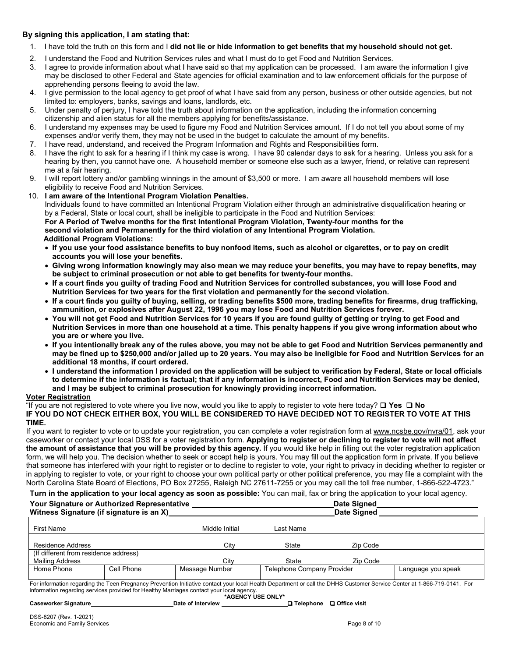# **By signing this application, I am stating that:**

- 1. I have told the truth on this form and I **did not lie or hide information to get benefits that my household should not get.**
- 2. I understand the Food and Nutrition Services rules and what I must do to get Food and Nutrition Services.
- 3. I agree to provide information about what I have said so that my application can be processed. I am aware the information I give may be disclosed to other Federal and State agencies for official examination and to law enforcement officials for the purpose of apprehending persons fleeing to avoid the law.
- 4. I give permission to the local agency to get proof of what I have said from any person, business or other outside agencies, but not limited to: employers, banks, savings and loans, landlords, etc.
- 5. Under penalty of perjury, I have told the truth about information on the application, including the information concerning citizenship and alien status for all the members applying for benefits/assistance.
- 6. I understand my expenses may be used to figure my Food and Nutrition Services amount. If I do not tell you about some of my expenses and/or verify them, they may not be used in the budget to calculate the amount of my benefits.
- 7. I have read, understand, and received the Program Information and Rights and Responsibilities form.
- 8. I have the right to ask for a hearing if I think my case is wrong. I have 90 calendar days to ask for a hearing. Unless you ask for a hearing by then, you cannot have one. A household member or someone else such as a lawyer, friend, or relative can represent me at a fair hearing.
- 9. I will report lottery and/or gambling winnings in the amount of \$3,500 or more. I am aware all household members will lose eligibility to receive Food and Nutrition Services.
- 10. **I am aware of the Intentional Program Violation Penalties.** Individuals found to have committed an Intentional Program Violation either through an administrative disqualification hearing or by a Federal, State or local court, shall be ineligible to participate in the Food and Nutrition Services: **For A Period of Twelve months for the first Intentional Program Violation, Twenty-four months for the second violation and Permanently for the third violation of any Intentional Program Violation. Additional Program Violations:**
	- **If you use your food assistance benefits to buy nonfood items, such as alcohol or cigarettes, or to pay on credit accounts you will lose your benefits.**
	- **Giving wrong information knowingly may also mean we may reduce your benefits, you may have to repay benefits, may be subject to criminal prosecution or not able to get benefits for twenty-four months.**
	- **If a court finds you guilty of trading Food and Nutrition Services for controlled substances, you will lose Food and Nutrition Services for two years for the first violation and permanently for the second violation.**
	- **If a court finds you guilty of buying, selling, or trading benefits \$500 more, trading benefits for firearms, drug trafficking, ammunition, or explosives after August 22, 1996 you may lose Food and Nutrition Services forever.**
	- **You will not get Food and Nutrition Services for 10 years if you are found guilty of getting or trying to get Food and Nutrition Services in more than one household at a time. This penalty happens if you give wrong information about who you are or where you live.**
	- **If you intentionally break any of the rules above, you may not be able to get Food and Nutrition Services permanently and may be fined up to \$250,000 and/or jailed up to 20 years. You may also be ineligible for Food and Nutrition Services for an additional 18 months, if court ordered.**
	- **I understand the information I provided on the application will be subject to verification by Federal, State or local officials to determine if the information is factual; that if any information is incorrect, Food and Nutrition Services may be denied, and I may be subject to criminal prosecution for knowingly providing incorrect information.**

# **Voter Registration**

"If you are not registered to vote where you live now, would you like to apply to register to vote here today? ❑ **Yes** ❑ **No IF YOU DO NOT CHECK EITHER BOX, YOU WILL BE CONSIDERED TO HAVE DECIDED NOT TO REGISTER TO VOTE AT THIS TIME.**

If you want to register to vote or to update your registration, you can complete a voter registration form at [www.ncsbe.gov/n](http://www.ncsbe.gov/)vra/01, ask your caseworker or contact your local DSS for a voter registration form. **Applying to register or declining to register to vote will not affect the amount of assistance that you will be provided by this agency.** If you would like help in filling out the voter registration application form, we will help you. The decision whether to seek or accept help is yours. You may fill out the application form in private. If you believe that someone has interfered with your right to register or to decline to register to vote, your right to privacy in deciding whether to register or in applying to register to vote, or your right to choose your own political party or other political preference, you may file a complaint with the North Carolina State Board of Elections, PO Box 27255, Raleigh NC 27611-7255 or you may call the toll free number, 1-866-522-4723."

**Turn in the application to your local agency as soon as possible:** You can mail, fax or bring the application to your local agency.

| Your Signature or Authorized Representative<br>Witness Signature (if signature is an X) |                                       |                                   | Date Signed<br><b>Date Signed</b> |                    |  |  |  |
|-----------------------------------------------------------------------------------------|---------------------------------------|-----------------------------------|-----------------------------------|--------------------|--|--|--|
|                                                                                         | Middle Initial                        | Last Name                         |                                   |                    |  |  |  |
|                                                                                         | Citv                                  | State                             | Zip Code                          |                    |  |  |  |
|                                                                                         |                                       |                                   |                                   |                    |  |  |  |
|                                                                                         | Citv                                  | <b>State</b>                      | Zip Code                          |                    |  |  |  |
| Cell Phone                                                                              | Message Number                        | <b>Telephone Company Provider</b> |                                   | Language you speak |  |  |  |
|                                                                                         | (If different from residence address) |                                   |                                   |                    |  |  |  |

For information regarding the Teen Pregnancy Prevention Initiative contact your local Health Department or call the DHHS Customer Service Center at 1-866-719-0141. For information regarding services provided for Healthy Marriages contact your local agency.

**\*AGENCY USE ONLY\***

**Caseworker Signature Date of Interview** ❑ **Telephone** ❑ **Office visit**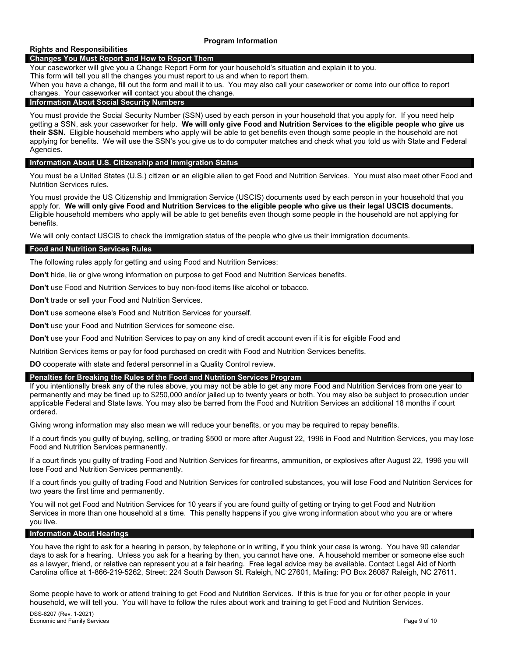## **Rights and Responsibilities**

## **Changes You Must Report and How to Report Them**

Your caseworker will give you a Change Report Form for your household's situation and explain it to you.

This form will tell you all the changes you must report to us and when to report them.

When you have a change, fill out the form and mail it to us. You may also call your caseworker or come into our office to report changes. Your caseworker will contact you about the change.

#### **Information About Social Security Numbers**

You must provide the Social Security Number (SSN) used by each person in your household that you apply for. If you need help getting a SSN, ask your caseworker for help. **We will only give Food and Nutrition Services to the eligible people who give us their SSN.** Eligible household members who apply will be able to get benefits even though some people in the household are not applying for benefits.We will use the SSN's you give us to do computer matches and check what you told us with State and Federal Agencies.

#### **Information About U.S. Citizenship and Immigration Status**

You must be a United States (U.S.) citizen **or** an eligible alien to get Food and Nutrition Services. You must also meet other Food and Nutrition Services rules.

You must provide the US Citizenship and Immigration Service (USCIS) documents used by each person in your household that you apply for. **We will only give Food and Nutrition Services to the eligible people who give us their legal USCIS documents.**  Eligible household members who apply will be able to get benefits even though some people in the household are not applying for benefits.

We will only contact USCIS to check the immigration status of the people who give us their immigration documents.

#### **Food and Nutrition Services Rules**

The following rules apply for getting and using Food and Nutrition Services:

**Don't** hide, lie or give wrong information on purpose to get Food and Nutrition Services benefits.

**Don't** use Food and Nutrition Services to buy non-food items like alcohol or tobacco.

**Don't** trade or sell your Food and Nutrition Services.

**Don't** use someone else's Food and Nutrition Services for yourself.

**Don't** use your Food and Nutrition Services for someone else.

**Don't** use your Food and Nutrition Services to pay on any kind of credit account even if it is for eligible Food and

Nutrition Services items or pay for food purchased on credit with Food and Nutrition Services benefits.

**DO** cooperate with state and federal personnel in a Quality Control review.

## **Penalties for Breaking the Rules of the Food and Nutrition Services Program**

If you intentionally break any of the rules above, you may not be able to get any more Food and Nutrition Services from one year to permanently and may be fined up to \$250,000 and/or jailed up to twenty years or both. You may also be subject to prosecution under applicable Federal and State laws. You may also be barred from the Food and Nutrition Services an additional 18 months if court ordered.

Giving wrong information may also mean we will reduce your benefits, or you may be required to repay benefits.

If a court finds you guilty of buying, selling, or trading \$500 or more after August 22, 1996 in Food and Nutrition Services, you may lose Food and Nutrition Services permanently.

If a court finds you guilty of trading Food and Nutrition Services for firearms, ammunition, or explosives after August 22, 1996 you will lose Food and Nutrition Services permanently.

If a court finds you guilty of trading Food and Nutrition Services for controlled substances, you will lose Food and Nutrition Services for two years the first time and permanently.

You will not get Food and Nutrition Services for 10 years if you are found guilty of getting or trying to get Food and Nutrition Services in more than one household at a time. This penalty happens if you give wrong information about who you are or where you live.

#### **Information About Hearings**

You have the right to ask for a hearing in person, by telephone or in writing, if you think your case is wrong. You have 90 calendar days to ask for a hearing. Unless you ask for a hearing by then, you cannot have one. A household member or someone else such as a lawyer, friend, or relative can represent you at a fair hearing. Free legal advice may be available. Contact Legal Aid of North Carolina office at 1-866-219-5262, Street: 224 South Dawson St. Raleigh, NC 27601, Mailing: PO Box 26087 Raleigh, NC 27611.

Some people have to work or attend training to get Food and Nutrition Services. If this is true for you or for other people in your household, we will tell you. You will have to follow the rules about work and training to get Food and Nutrition Services.